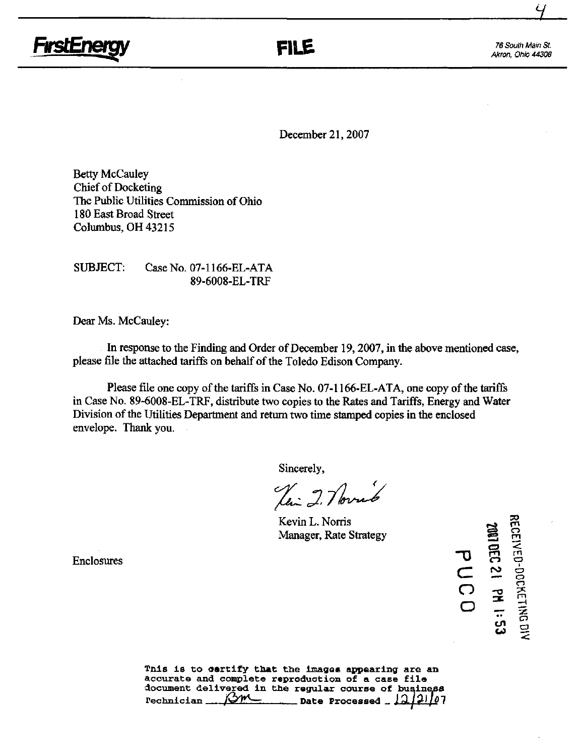

Akron, Ohio 44308

 $\frac{4}{\sqrt{2}}$ 

December 21,2007

Betty McCauley Chief of Docketing The Public Utilities Commission of Ohio 180 East Broad Street Columbus, OH 43215

SUBJECT: Case No. 07-1166-EL-ATA 89-6008-EL-TRF

Dear Ms. McCauley:

In response to the Finding and Order of December 19,2007, in the above mentioned case, please file the attached tariffs on behalf of the Toledo Edison Company.

Please file one copy of the tariffs in Case No. 07-1166-EL-ATA, one copy of the tariffs in Case No. 89-6008-EL-TRF, distribute two copies to the Rates and Tariffs, Energy and Water Division of the Utilities Department and return two time stamped copies in the enclosed envelope. Thank you.

Sincerely,

Jai 2. Noviet

Kevin L. Norris Manager, Rate Strategy

Enclosures

 $\sigma$  $\overline{\mathsf{C}}$  $\overline{\Omega}$ o ro rn o rn 12 JULY 1991<br>1991 - OCCH •• o  $\frac{5}{3}$ 

Tnis is to certify that the images appearing are an accurate and complete reproduction of a case file document delivered in the regular course of business  $Pechnician$   $\frac{\sqrt{\gamma}M}{\gamma}$  Date Processed  $\frac{12[21]}{3}$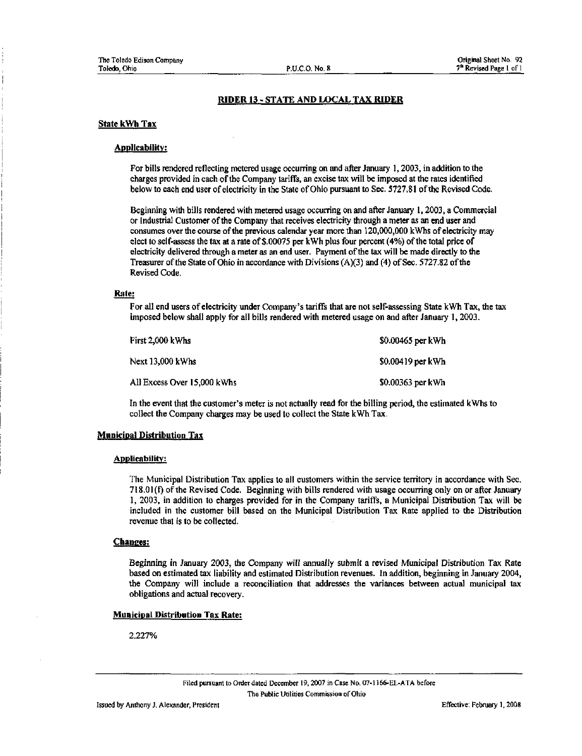### RIDER 13 - STATE AND LOCAL TAX RIDER

#### State kWh Tax

#### Applicability;

For bills rendered reflecting metered usage occurring on and after January 1,2003, in addition to the charges provided in each of the Company tariffs, an excise tax will be imposed at the rates identified below to each end user of electricity in the State of Ohio pursuant to Sec. 5727.81 of the Revised Code.

Beginning with bills rendered with metered usage occurring on and after January 1,2003, a Commercial or Industrial Customer of the Company that receives electricity through a meter as an end user and consumes over the course of the previous calendar year more than 120,000,000 kWhs of electricity may elect to self-assess the tax at a rate of \$.00075 per kWh plus four percent (4%) of the total price of electricity delivered through a meter as an end user. Payment of the tax will be made directly to the Treasurer of the State of Ohio in accordance with Divisions (A)(3) and (4) of Sec. 5727.82 of the Revised Code.

### Rate:

For all end users of electricity under Company's tariffs that are not self-assessing State kWh Tax, the tax imposed below shall apply for all bills rendered with metered usage on and after January 1, 2003.

| First 2,000 kWhs            | \$0.00465 per kWh |
|-----------------------------|-------------------|
| <b>Next 13,000 kWhs</b>     | \$0.00419 per kWh |
| All Excess Over 15,000 kWhs | \$0.00363 per kWh |

In the event that the customer's meter is not actually read for the billing period, the estimated kWhs to collect the Company charges may be used to collect the State kWh Tax.

### **Municipal Distribution Tax**

#### Applicabilitv:

The Municipal Distribution Tax applies to all customers within the service territory in accordance with Sec. 71S.01(f)ofthe Revised Code. Beginning with bills rendered with usage occurring only on or after January 1, 2003, in addition to charges provided for in the Company tariffs, a Municipal Distribution Tax will be included in the customer bill based on the Municipal Distribution Tax Rate applied to the Distribution revenue that is to be collected.

#### Changes:

Beginning in January 2003, the Company will annually submit a revised Municipal Distribution Tax Rate based on estimated tax liability and estimated Distribution revenues. In addition, beginning in January 2004, the Company will include a reconciliation that addresses the variances between actual municipal tax obligations and actual recovery.

### Municipal Distribution Tax Rate:

2.227%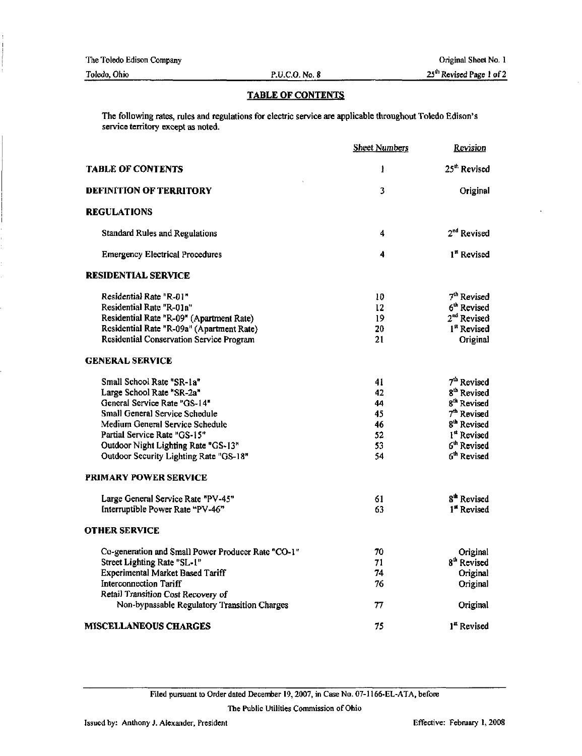The Toledo Edison Company

Toledo, Ohio P.U.CO. No. 8

# TABLE OF CONTENTS

The following rates, rules and regulations for electric service are applicable throughout Toledo Edison's service territory except as noted.

|                                                    | <b>Sheet Numbers</b> | Revision                 |
|----------------------------------------------------|----------------------|--------------------------|
| <b>TABLE OF CONTENTS</b>                           | $\mathbf{I}$         | 25 <sup>th</sup> Revised |
| <b>DEFINITION OF TERRITORY</b>                     | 3                    | Original                 |
| <b>REGULATIONS</b>                                 |                      |                          |
| <b>Standard Rules and Regulations</b>              | 4                    | 2 <sup>nd</sup> Revised  |
| <b>Emergency Electrical Procedures</b>             | 4                    | 1 <sup>x</sup> Revised   |
| <b>RESIDENTIAL SERVICE</b>                         |                      |                          |
| Residential Rate "R-01"                            | 10                   | 7 <sup>th</sup> Revised  |
| Residential Rate "R-01a"                           | 12                   | 6 <sup>th</sup> Revised  |
| Residential Rate "R-09" (Apartment Rate)           | 19                   | 2 <sup>nd</sup> Revised  |
| Residential Rate "R-09a" (Apartment Rate)          | 20                   | 1 <sup>st</sup> Revised  |
| Residential Conservation Service Program           | 21                   | Original                 |
| <b>GENERAL SERVICE</b>                             |                      |                          |
| Small School Rate "SR-1a"                          | 41                   | 7 <sup>th</sup> Revised  |
| Large School Rate "SR-2a"                          | 42                   | 8 <sup>th</sup> Revised  |
| General Service Rate "GS-14"                       | 44                   | 8 <sup>th</sup> Revised  |
| Small General Service Schedule                     | 45                   | 7 <sup>th</sup> Revised  |
| Medium General Service Schedule                    | 46                   | 8 <sup>th</sup> Revised  |
| Partial Service Rate "GS-15"                       | 52                   | 1 <sup>st</sup> Revised  |
| Outdoor Night Lighting Rate "GS-13"                | 53.                  | 6 <sup>th</sup> Revised  |
| Outdoor Security Lighting Rate "GS-18"             | 54                   | 6 <sup>th</sup> Revised  |
| <b>PRIMARY POWER SERVICE</b>                       |                      |                          |
| Large General Service Rate "PV-45"                 | 61                   | 8 <sup>th</sup> Revised  |
| Interruptible Power Rate "PV-46"                   | 63                   | 1 <sup>st</sup> Revised  |
| <b>OTHER SERVICE</b>                               |                      |                          |
| Co-generation and Small Power Producer Rate "CO-1" | 70                   | Original                 |
| Street Lighting Rate "SL-1"                        | 71                   | 8 <sup>th</sup> Revised  |
| Experimental Market Based Tariff                   | 74                   | Original                 |
| <b>Interconnection Tariff</b>                      | 76                   | Original                 |
| Retail Transition Cost Recovery of                 |                      |                          |
| Non-bypassable Regulatory Transition Charges       | 77                   | Original                 |
| <b>MISCELLANEOUS CHARGES</b>                       | 75                   | 1 <sup>st</sup> Revised  |